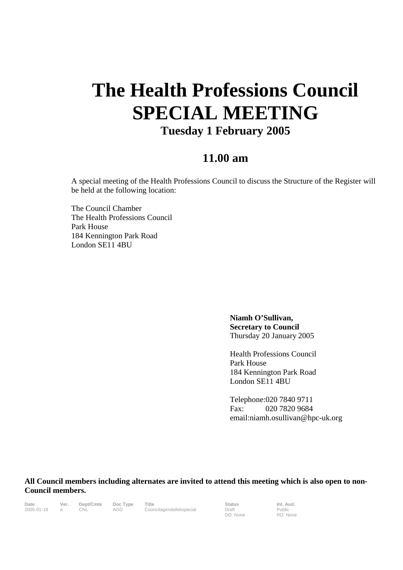## **The Health Professions Council SPECIAL MEETING Tuesday 1 February 2005**

## **11.00 am**

A special meeting of the Health Professions Council to discuss the Structure of the Register will be held at the following location:

The Council Chamber The Health Professions Council Park House 184 Kennington Park Road London SE11 4BU

> **Niamh O'Sullivan, Secretary to Council** Thursday 20 January 2005

Health Professions Council Park House 184 Kennington Park Road London SE11 4BU

Telephone:020 7840 9711 Fax: 020 7820 9684 email:niamh.osullivan@hpc-uk.org

**All Council members including alternates are invited to attend this meeting which is also open to non-Council members.** 

| <b>Date</b> |  |
|-------------|--|
| 2005-01-18  |  |

**Date Ver. Dept/Cmte Doc Type Title Status Int. Aud.** 2005-01-18 a CNL AGD Councilagendafebspecial Draft

DD: None

Public RD: None